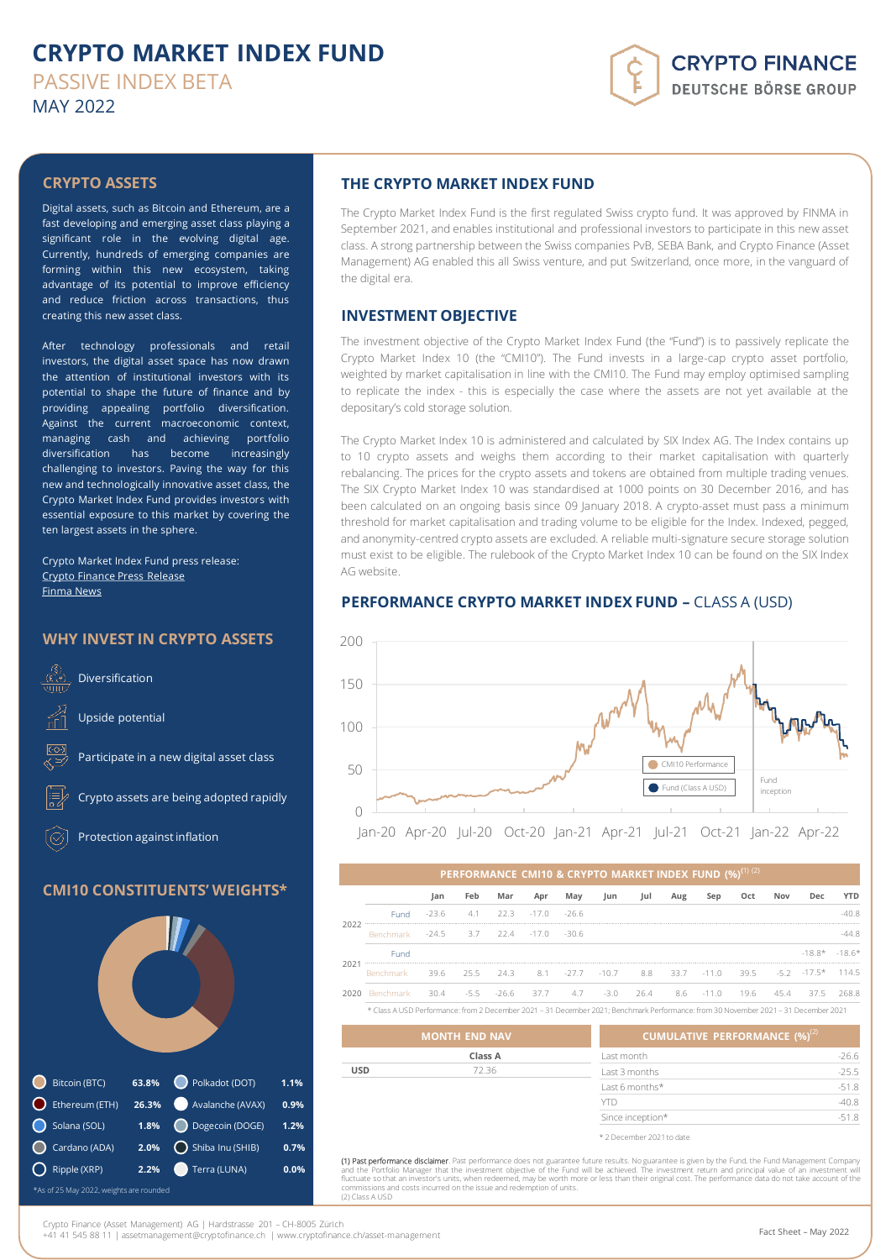# **CRYPTO MARKET INDEX FUND** PASSIVE INDEX BETA MAY 2022

# **CRYPTO FINANCE DEUTSCHE BÖRSE GROUP**

## **CRYPTO ASSETS**

Digital assets, such as Bitcoin and Ethereum, are a fast developing and emerging asset class playing a significant role in the evolving digital age. Currently, hundreds of emerging companies are forming within this new ecosystem, taking advantage of its potential to improve efficiency and reduce friction across transactions, thus creating this new asset class.

After technology professionals and retail investors, the digital asset space has now drawn the attention of institutional investors with its potential to shape the future of finance and by providing appealing portfolio diversification. Against the current macroeconomic context, managing cash and achieving portfolio diversification has become increasingly challenging to investors. Paving the way for this new and technologically innovative asset class, the Crypto Market Index Fund provides investors with essential exposure to this market by covering the ten largest assets in the sphere.

Crypto Market Index Fund press release: Crypto [Finance](https://www.cryptofinance.ch/en/crypto-finance-the-first-regulated-crypto-fund/) Press Release [Finma](https://www.finma.ch/en/news/2021/09/20210929-mm-genehmigung-schweizer-kryptofonds/) [News](https://www.finma.ch/en/news/2021/09/20210929-mm-genehmigung-schweizer-kryptofonds/)

## **WHY INVEST IN CRYPTO ASSETS**



## **CMI10 CONSTITUENTS' WEIGHTS\***



## **THE CRYPTO MARKET INDEX FUND**

The Crypto Market Index Fund is the first regulated Swiss crypto fund. It was approved by FINMA in September 2021, and enables institutional and professional investors to participate in this new asset class. A strong partnership between the Swiss companies PvB, SEBA Bank, and Crypto Finance (Asset Management) AG enabled this all Swiss venture, and put Switzerland, once more, in the vanguard of the digital era.

### **INVESTMENT OBJECTIVE**

The investment objective of the Crypto Market Index Fund (the "Fund") is to passively replicate the Crypto Market Index 10 (the "CMI10"). The Fund invests in a large-cap crypto asset portfolio, weighted by market capitalisation in line with the CMI10. The Fund may employ optimised sampling to replicate the index - this is especially the case where the assets are not yet available at the depositary's cold storage solution.

The Crypto Market Index 10 is administered and calculated by SIX Index AG. The Index contains up to 10 crypto assets and weighs them according to their market capitalisation with quarterly rebalancing. The prices for the crypto assets and tokens are obtained from multiple trading venues. The SIX Crypto Market Index 10 was standardised at 1000 points on 30 December 2016, and has been calculated on an ongoing basis since 09 January 2018. A crypto-asset must pass a minimum threshold for market capitalisation and trading volume to be eligible for the Index. Indexed, pegged, and anonymity-centred crypto assets are excluded. A reliable multi-signature secure storage solution must exist to be eligible. The rulebook of the Crypto Market Index 10 can be found on the SIX Index AG website.

## **PERFORMANCE CRYPTO MARKET INDEX FUND –** CLASS A (USD)



|      |                                      |         |     |                      |     |                     |                                |                         |     | PERFORMANCE CMI10 & CRYPTO MARKET INDEX FUND (%) <sup>(1) (2)</sup> |     |     |                                    |         |
|------|--------------------------------------|---------|-----|----------------------|-----|---------------------|--------------------------------|-------------------------|-----|---------------------------------------------------------------------|-----|-----|------------------------------------|---------|
|      |                                      | Jan     | Feb | Mar                  | Apr | May                 | Jun                            | Jul                     | Aug | Sep                                                                 | Oct | Nov | Dec.                               | YTD     |
|      | <b>Fund</b>                          | $-23.6$ |     | $4.1$ $22.3$ $-17.0$ |     | $-26.6$             |                                |                         |     |                                                                     |     |     |                                    | $-40.8$ |
| 2022 | Benchmark -24.5 3.7 22.4 -17.0 -30.6 |         |     |                      |     |                     |                                |                         |     |                                                                     |     |     |                                    | -44.8   |
|      | Fund                                 |         |     |                      |     |                     |                                |                         |     |                                                                     |     |     | $-18.8*$ $-18.6*$                  |         |
| 202. | Benchmark                            | 39.6    |     |                      |     |                     | 255 243 81 -27.7 -10.7 88 33.7 |                         |     |                                                                     |     |     | $-11.0$ 39.5 $-5.2$ $-17.5*$ 114.5 |         |
| 2020 | Benchmark                            | 30.4    |     |                      |     | -5.5 -26.6 37.7 4.7 |                                | $-3.0$ 26.4 8.6 $-11.0$ |     |                                                                     |     |     | 19.6 45.4 37.5                     | 2688    |

\* Class A USD Performance: from 2 December 2021 – 31 December 2021; Benchmark Performance: from 30 November 2021 – 31 December 2021

|            | <b>MONTH END NAV</b> | <b>CUMULATIVE PERFORMANCE <math>(\%)^{(2)}</math></b> |         |
|------------|----------------------|-------------------------------------------------------|---------|
|            | Class A              | Last month                                            | $-26.6$ |
| <b>USD</b> | 72.36                | Last 3 months                                         | $-25.5$ |
|            |                      | Last 6 months*                                        | $-51.8$ |
|            |                      | YTD                                                   | $-40.8$ |
|            |                      | Since inception*                                      | $-51.8$ |
|            |                      | * 2 December 2021 to date                             |         |

**(1) Past performance disclaimer**. Past performance does not guarantee future results. No guarantee is given by the Fund, the Fund Management Company<br>and the Portfolio Manager that the investment objective of the Fund will and costs incurred on the issue and redemption of units. (2) Class A USD

Crypto Finance (Asset Management) AG | Hardstrasse 201 – CH-8005 Zürich

+41 41 545 88 11 | assetmanagement@cryptofinance.ch | www.cryptofinance.ch/asset-management